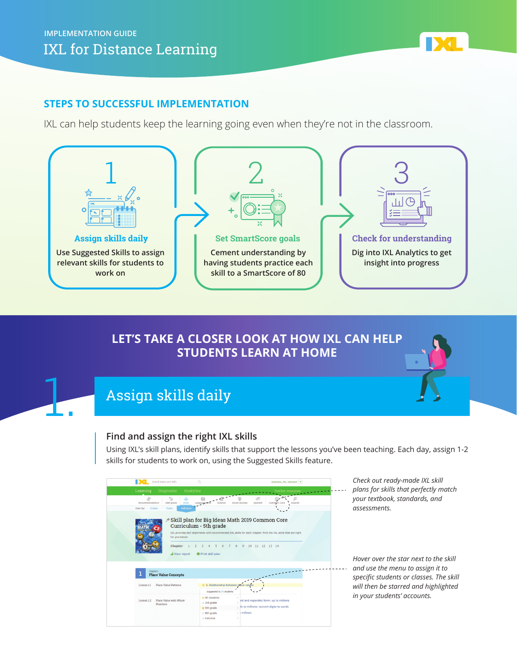## **STEPS TO SUCCESSFUL IMPLEMENTATION**

IXL can help students keep the learning going even when they're not in the classroom.



## **LET'S TAKE A CLOSER LOOK AT HOW IXL CAN HELP STUDENTS LEARN AT HOME**



# Assign skills daily

### **Find and assign the right IXL skills**

Using IXL's skill plans, identify skills that support the lessons you've been teaching. Each day, assign 1-2 skills for students to work on, using the Suggested Skills feature.

| Search topics and skills                                                      | $\Omega$                                                                                                                                                                                     |                             |               | Welcome, Ms. Johnson! -                 |        |  |
|-------------------------------------------------------------------------------|----------------------------------------------------------------------------------------------------------------------------------------------------------------------------------------------|-----------------------------|---------------|-----------------------------------------|--------|--|
| Analytics<br>Learning<br>Diagnostic                                           |                                                                                                                                                                                              |                             |               | <b>Teacher resources</b>                |        |  |
| $\mathcal{C}^{\pm}_{\pm}$<br>è<br>Д<br>Skill plans<br>Math<br>Recommendations | 硇<br>Language ort                                                                                                                                                                            | Social studies              | F.<br>Spanish | Common Core                             | Awards |  |
| Skill plans<br>View by:<br>Grades<br>Topics                                   |                                                                                                                                                                                              |                             |               |                                         |        |  |
| for you below!                                                                | → Skill plan for Big Ideas Math 2019 Common Core<br>Curriculum - 5th grade<br>IXL provides skill alignments with recommended IXL skills for each chapter. Find the IXL skills that are right |                             |               |                                         |        |  |
| Chapter<br>all View report                                                    | 6<br>7<br>5<br>Print skill plan                                                                                                                                                              | 8 9 10 11 12 13 14          |               |                                         |        |  |
| Chapter 1<br><b>Place Value Concepts</b>                                      |                                                                                                                                                                                              |                             |               |                                         |        |  |
| <b>Place Value Patterns</b><br>Lesson 1.1                                     | 1. Relationship between place va                                                                                                                                                             |                             |               |                                         |        |  |
|                                                                               | Suggested to 20 students                                                                                                                                                                     |                             |               |                                         |        |  |
| Place Value with Whole<br>Lesson 1.2<br><b>Numbers</b>                        | All students<br>$#$ 3rd grade                                                                                                                                                                |                             |               | ird and expanded form: up to millions   |        |  |
|                                                                               | $\star$ 5th grade                                                                                                                                                                            |                             |               | is to millions: convert digits to words |        |  |
|                                                                               | $#$ 8th grade<br>$\pm$ Calculus                                                                                                                                                              | i millions<br>$\mathcal{L}$ |               |                                         |        |  |

*Check out ready-made IXL skill plans for skills that perfectly match your textbook, standards, and assessments.*

*Hover over the star next to the skill and use the menu to assign it to specific students or classes. The skill will then be starred and highlighted in your students' accounts.*

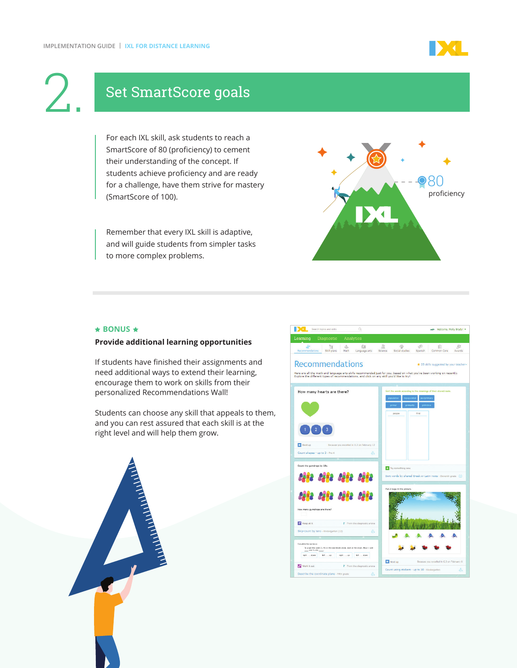

# Set SmartScore goals

For each IXL skill, ask students to reach a SmartScore of 80 (proficiency) to cement their understanding of the concept. If students achieve proficiency and are ready for a challenge, have them strive for mastery (SmartScore of 100).

Remember that every IXL skill is adaptive, and will guide students from simpler tasks to more complex problems.



#### ★ BONUS ★

#### **Provide additional learning opportunities**

If students have finished their assignments and need additional ways to extend their learning, encourage them to work on skills from their personalized Recommendations Wall!

Students can choose any skill that appeals to them, and you can rest assured that each skill is at the right level and will help them grow.